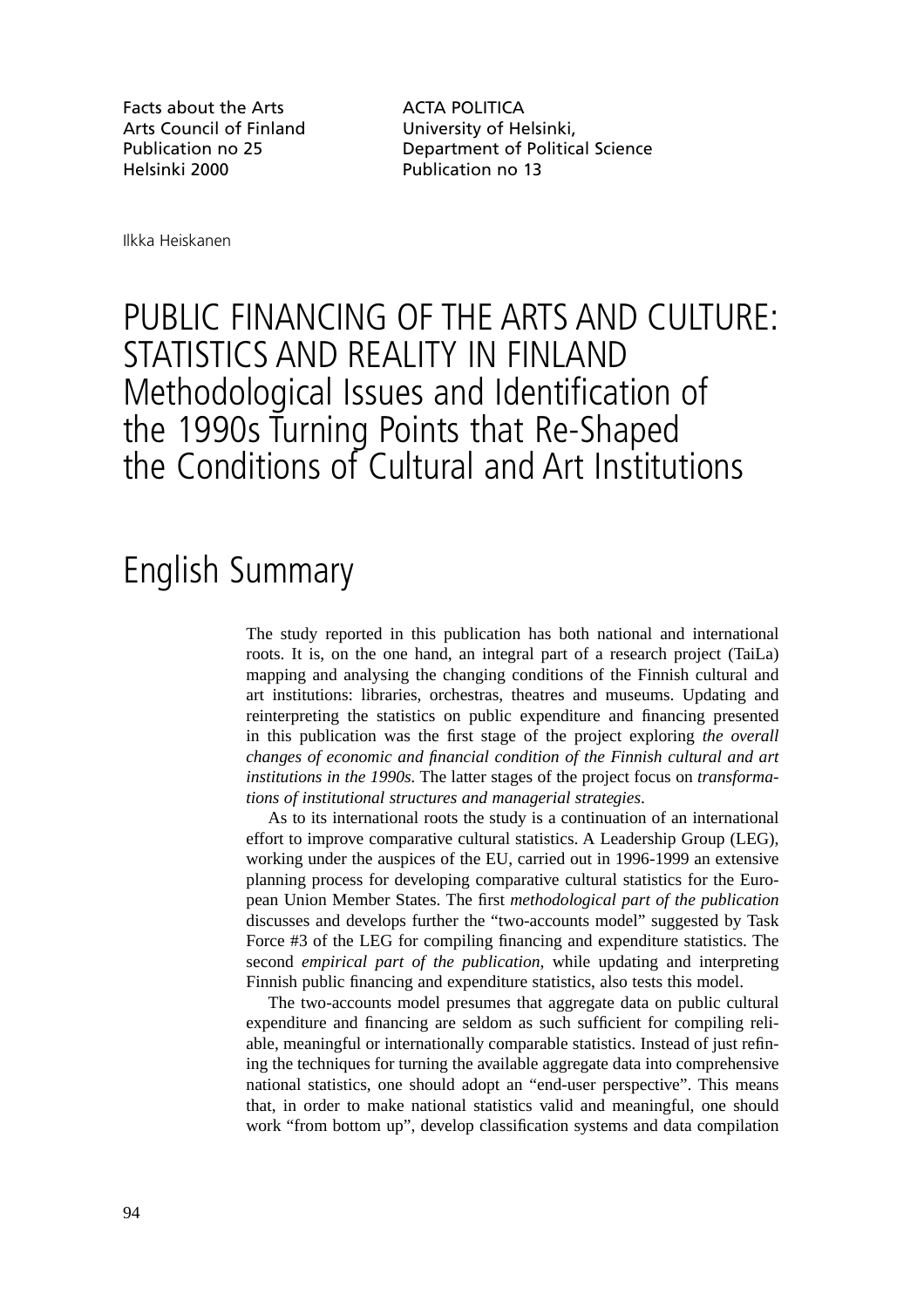Facts about the Arts **ACTA POLITICA** Arts Council of Finland University of Helsinki, Helsinki 2000 Publication no 13

Publication no 25 Department of Political Science

Ilkka Heiskanen

## PUBLIC FINANCING OF THE ARTS AND CULTURE: STATISTICS AND REALITY IN FINLAND Methodological Issues and Identification of the 1990s Turning Points that Re-Shaped the Conditions of Cultural and Art Institutions

## English Summary

The study reported in this publication has both national and international roots. It is, on the one hand, an integral part of a research project (TaiLa) mapping and analysing the changing conditions of the Finnish cultural and art institutions: libraries, orchestras, theatres and museums. Updating and reinterpreting the statistics on public expenditure and financing presented in this publication was the first stage of the project exploring *the overall changes of economic and financial condition of the Finnish cultural and art institutions in the 1990s.* The latter stages of the project focus on *transformations of institutional structures and managerial strategies*.

As to its international roots the study is a continuation of an international effort to improve comparative cultural statistics. A Leadership Group (LEG), working under the auspices of the EU, carried out in 1996-1999 an extensive planning process for developing comparative cultural statistics for the European Union Member States. The first *methodological part of the publication* discusses and develops further the "two-accounts model" suggested by Task Force #3 of the LEG for compiling financing and expenditure statistics. The second *empirical part of the publication*, while updating and interpreting Finnish public financing and expenditure statistics, also tests this model.

The two-accounts model presumes that aggregate data on public cultural expenditure and financing are seldom as such sufficient for compiling reliable, meaningful or internationally comparable statistics. Instead of just refining the techniques for turning the available aggregate data into comprehensive national statistics, one should adopt an "end-user perspective". This means that, in order to make national statistics valid and meaningful, one should work "from bottom up", develop classification systems and data compilation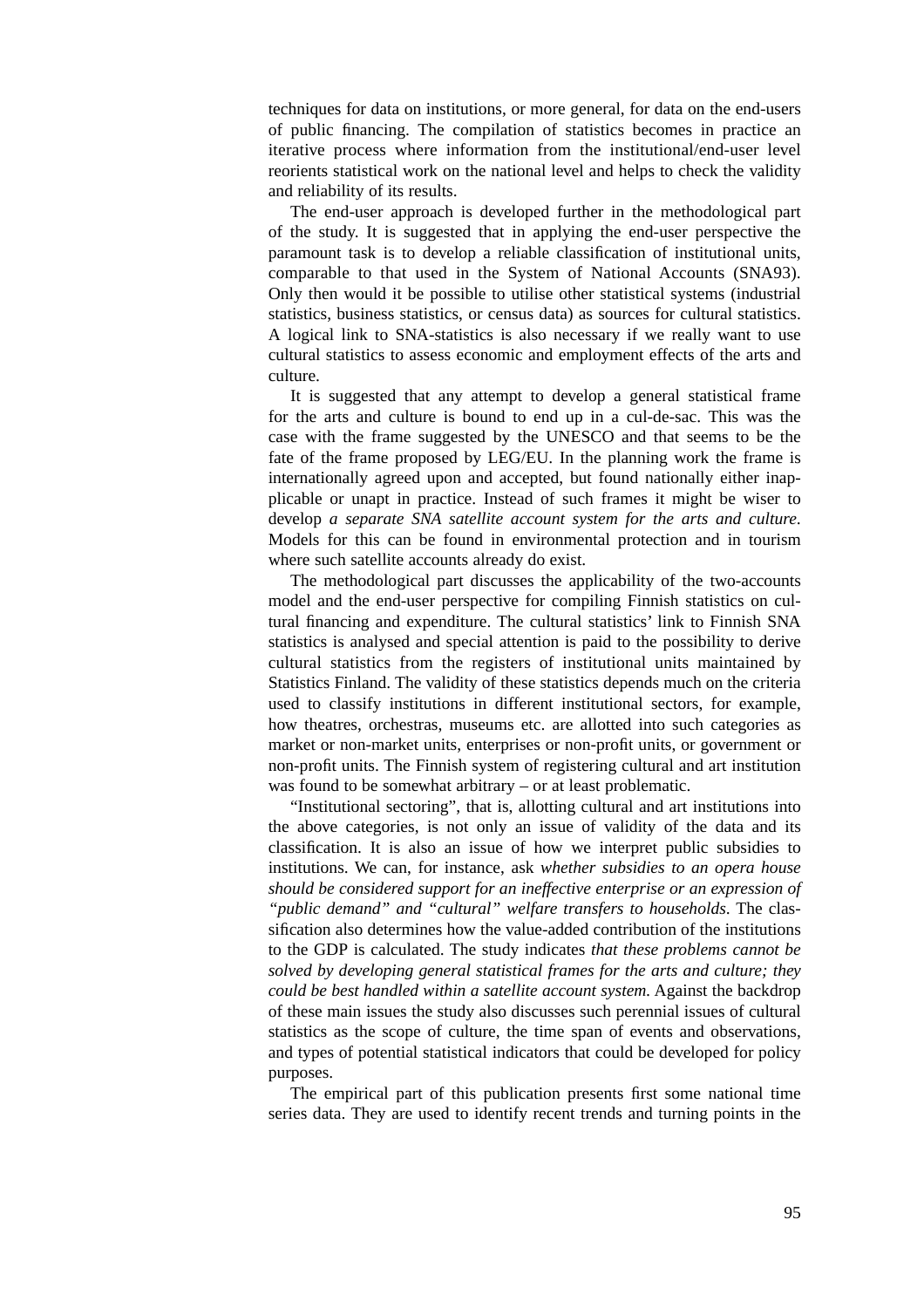techniques for data on institutions, or more general, for data on the end-users of public financing. The compilation of statistics becomes in practice an iterative process where information from the institutional/end-user level reorients statistical work on the national level and helps to check the validity and reliability of its results.

The end-user approach is developed further in the methodological part of the study. It is suggested that in applying the end-user perspective the paramount task is to develop a reliable classification of institutional units, comparable to that used in the System of National Accounts (SNA93). Only then would it be possible to utilise other statistical systems (industrial statistics, business statistics, or census data) as sources for cultural statistics. A logical link to SNA-statistics is also necessary if we really want to use cultural statistics to assess economic and employment effects of the arts and culture.

It is suggested that any attempt to develop a general statistical frame for the arts and culture is bound to end up in a cul-de-sac. This was the case with the frame suggested by the UNESCO and that seems to be the fate of the frame proposed by LEG/EU. In the planning work the frame is internationally agreed upon and accepted, but found nationally either inapplicable or unapt in practice. Instead of such frames it might be wiser to develop *a separate SNA satellite account system for the arts and culture*. Models for this can be found in environmental protection and in tourism where such satellite accounts already do exist.

The methodological part discusses the applicability of the two-accounts model and the end-user perspective for compiling Finnish statistics on cultural financing and expenditure. The cultural statistics' link to Finnish SNA statistics is analysed and special attention is paid to the possibility to derive cultural statistics from the registers of institutional units maintained by Statistics Finland. The validity of these statistics depends much on the criteria used to classify institutions in different institutional sectors, for example, how theatres, orchestras, museums etc. are allotted into such categories as market or non-market units, enterprises or non-profit units, or government or non-profit units. The Finnish system of registering cultural and art institution was found to be somewhat arbitrary – or at least problematic.

"Institutional sectoring", that is, allotting cultural and art institutions into the above categories, is not only an issue of validity of the data and its classification. It is also an issue of how we interpret public subsidies to institutions. We can, for instance, ask *whether subsidies to an opera house should be considered support for an ineffective enterprise or an expression of "public demand" and "cultural" welfare transfers to households*. The classification also determines how the value-added contribution of the institutions to the GDP is calculated. The study indicates *that these problems cannot be solved by developing general statistical frames for the arts and culture; they could be best handled within a satellite account system.* Against the backdrop of these main issues the study also discusses such perennial issues of cultural statistics as the scope of culture, the time span of events and observations, and types of potential statistical indicators that could be developed for policy purposes.

The empirical part of this publication presents first some national time series data. They are used to identify recent trends and turning points in the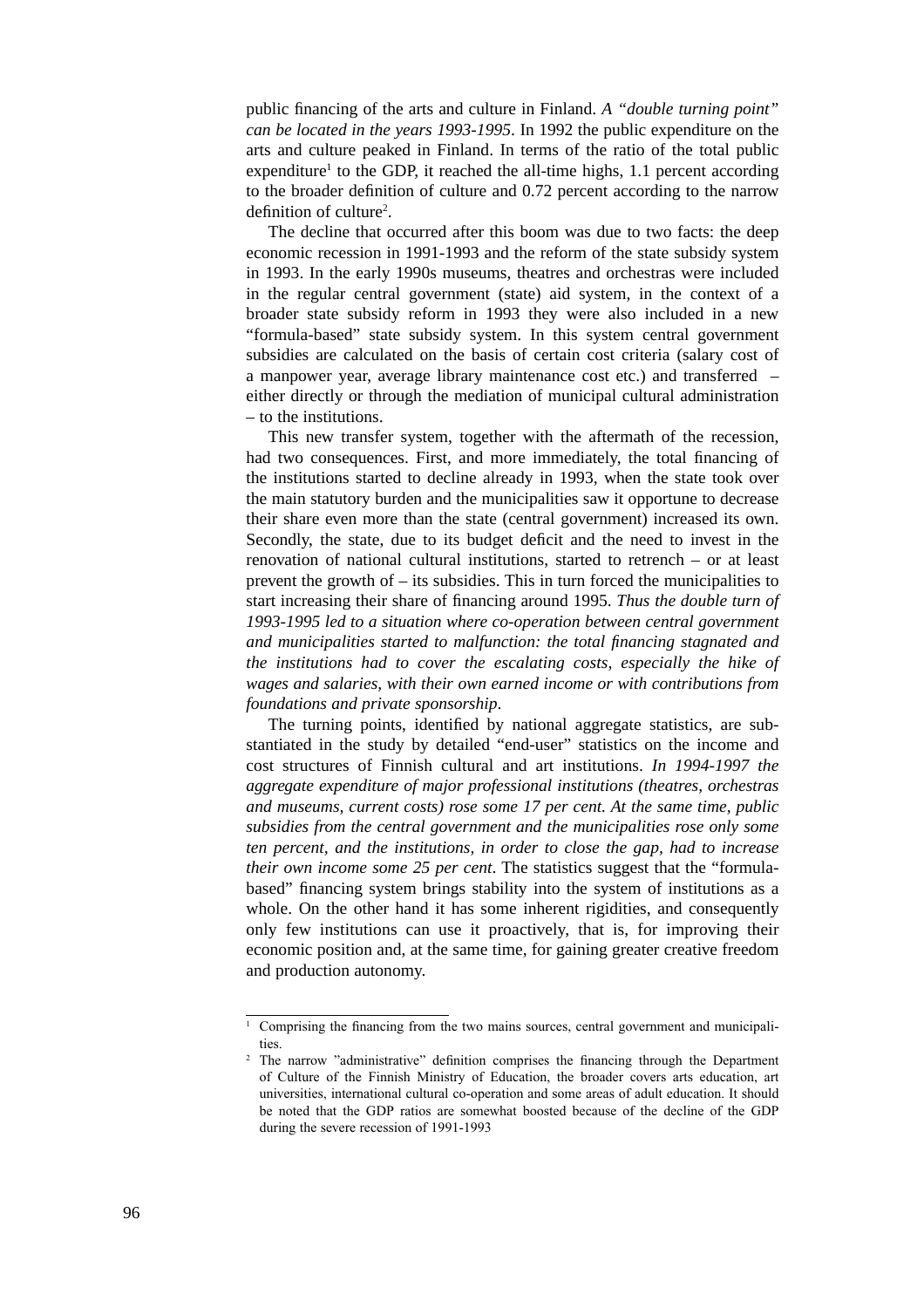public financing of the arts and culture in Finland. *A "double turning point" can be located in the years 1993-1995*. In 1992 the public expenditure on the arts and culture peaked in Finland. In terms of the ratio of the total public expenditure<sup>1</sup> to the GDP, it reached the all-time highs, 1.1 percent according to the broader definition of culture and 0.72 percent according to the narrow definition of culture<sup>2</sup>.

The decline that occurred after this boom was due to two facts: the deep economic recession in 1991-1993 and the reform of the state subsidy system in 1993. In the early 1990s museums, theatres and orchestras were included in the regular central government (state) aid system, in the context of a broader state subsidy reform in 1993 they were also included in a new "formula-based" state subsidy system. In this system central government subsidies are calculated on the basis of certain cost criteria (salary cost of a manpower year, average library maintenance cost etc.) and transferred – either directly or through the mediation of municipal cultural administration – to the institutions.

This new transfer system, together with the aftermath of the recession, had two consequences. First, and more immediately, the total financing of the institutions started to decline already in 1993, when the state took over the main statutory burden and the municipalities saw it opportune to decrease their share even more than the state (central government) increased its own. Secondly, the state, due to its budget deficit and the need to invest in the renovation of national cultural institutions, started to retrench – or at least prevent the growth of – its subsidies. This in turn forced the municipalities to start increasing their share of financing around 1995. *Thus the double turn of 1993-1995 led to a situation where co-operation between central government and municipalities started to malfunction: the total financing stagnated and the institutions had to cover the escalating costs, especially the hike of wages and salaries, with their own earned income or with contributions from foundations and private sponsorship*.

The turning points, identified by national aggregate statistics, are substantiated in the study by detailed "end-user" statistics on the income and cost structures of Finnish cultural and art institutions. *In 1994-1997 the aggregate expenditure of major professional institutions (theatres, orchestras and museums, current costs) rose some 17 per cent. At the same time, public subsidies from the central government and the municipalities rose only some ten percent, and the institutions, in order to close the gap, had to increase their own income some 25 per cent*. The statistics suggest that the "formulabased" financing system brings stability into the system of institutions as a whole. On the other hand it has some inherent rigidities, and consequently only few institutions can use it proactively, that is, for improving their economic position and, at the same time, for gaining greater creative freedom and production autonomy.

<sup>&</sup>lt;sup>1</sup> Comprising the financing from the two mains sources, central government and municipalities.

 $2$  The narrow "administrative" definition comprises the financing through the Department of Culture of the Finnish Ministry of Education, the broader covers arts education, art universities, international cultural co-operation and some areas of adult education. It should be noted that the GDP ratios are somewhat boosted because of the decline of the GDP during the severe recession of 1991-1993